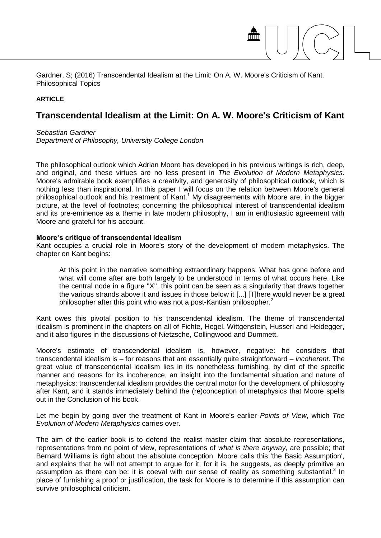Gardner, S; (2016) Transcendental Idealism at the Limit: On A. W. Moore's Criticism of Kant. Philosophical Topics

## **ARTICLE**

# **Transcendental Idealism at the Limit: On A. W. Moore's Criticism of Kant**

1

*Sebastian Gardner Department of Philosophy, University College London*

The philosophical outlook which Adrian Moore has developed in his previous writings is rich, deep, and original, and these virtues are no less present in *The Evolution of Modern Metaphysics*. Moore's admirable book exemplifies a creativity, and generosity of philosophical outlook, which is nothing less than inspirational. In this paper I will focus on the relation between Moore's general philosophical outlook and his treatment of Kant.<sup>1</sup> My disagreements with Moore are, in the bigger picture, at the level of footnotes; concerning the philosophical interest of transcendental idealism and its pre-eminence as a theme in late modern philosophy, I am in enthusiastic agreement with Moore and grateful for his account.

#### **Moore's critique of transcendental idealism**

Kant occupies a crucial role in Moore's story of the development of modern metaphysics. The chapter on Kant begins:

At this point in the narrative something extraordinary happens. What has gone before and what will come after are both largely to be understood in terms of what occurs here. Like the central node in a figure ''X'', this point can be seen as a singularity that draws together the various strands above it and issues in those below it [...] [T]here would never be a great philosopher after this point who was not a post-Kantian philosopher.<sup>2</sup>

Kant owes this pivotal position to his transcendental idealism. The theme of transcendental idealism is prominent in the chapters on all of Fichte, Hegel, Wittgenstein, Husserl and Heidegger, and it also figures in the discussions of Nietzsche, Collingwood and Dummett.

Moore's estimate of transcendental idealism is, however, negative: he considers that transcendental idealism is – for reasons that are essentially quite straightforward – *incoherent*. The great value of transcendental idealism lies in its nonetheless furnishing, by dint of the specific manner and reasons for its incoherence, an insight into the fundamental situation and nature of metaphysics: transcendental idealism provides the central motor for the development of philosophy after Kant, and it stands immediately behind the (re)conception of metaphysics that Moore spells out in the Conclusion of his book.

Let me begin by going over the treatment of Kant in Moore's earlier *Points of View*, which *The Evolution of Modern Metaphysics* carries over.

The aim of the earlier book is to defend the realist master claim that absolute representations, representations from no point of view, representations of *what is there anyway*, are possible; that Bernard Williams is right about the absolute conception. Moore calls this 'the Basic Assumption', and explains that he will not attempt to argue for it, for it is, he suggests, as deeply primitive an assumption as there can be: it is coeval with our sense of reality as something substantial. $3$  In place of furnishing a proof or justification, the task for Moore is to determine if this assumption can survive philosophical criticism.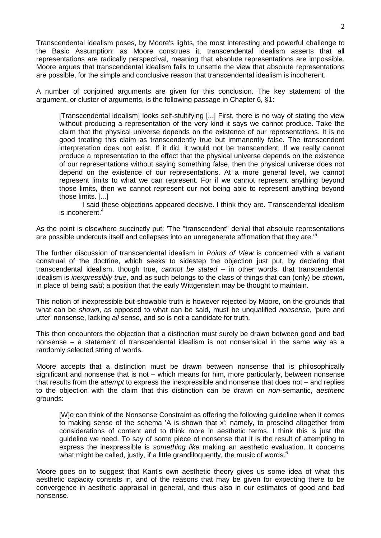Transcendental idealism poses, by Moore's lights, the most interesting and powerful challenge to the Basic Assumption: as Moore construes it, transcendental idealism asserts that all representations are radically perspectival, meaning that absolute representations are impossible. Moore argues that transcendental idealism fails to unsettle the view that absolute representations are possible, for the simple and conclusive reason that transcendental idealism is incoherent.

A number of conjoined arguments are given for this conclusion. The key statement of the argument, or cluster of arguments, is the following passage in Chapter 6, §1:

[Transcendental idealism] looks self-stultifying [...] First, there is no way of stating the view without producing a representation of the very kind it says we cannot produce. Take the claim that the physical universe depends on the existence of our representations. It is no good treating this claim as transcendently true but immanently false. The transcendent interpretation does not exist. If it did, it would not be transcendent. If we really cannot produce a representation to the effect that the physical universe depends on the existence of our representations without saying something false, then the physical universe does not depend on the existence of our representations. At a more general level, we cannot represent limits to what we can represent. For if we cannot represent anything beyond those limits, then we cannot represent our not being able to represent anything beyond those limits. [...]

I said these objections appeared decisive. I think they are. Transcendental idealism is incoherent.<sup>4</sup>

As the point is elsewhere succinctly put: 'The ''transcendent'' denial that absolute representations are possible undercuts itself and collapses into an unregenerate affirmation that they are.<sup>'5</sup>

The further discussion of transcendental idealism in *Points of View* is concerned with a variant construal of the doctrine, which seeks to sidestep the objection just put, by declaring that transcendental idealism, though true, *cannot be stated* – in other words, that transcendental idealism is *inexpressibly true*, and as such belongs to the class of things that can (only) be *shown*, in place of being *said*; a position that the early Wittgenstein may be thought to maintain.

This notion of inexpressible-but-showable truth is however rejected by Moore, on the grounds that what can be *shown*, as opposed to what can be said, must be unqualified *nonsense*, 'pure and utter' nonsense, lacking *all* sense, and so is not a candidate for truth.

This then encounters the objection that a distinction must surely be drawn between good and bad nonsense – a statement of transcendental idealism is not nonsensical in the same way as a randomly selected string of words.

Moore accepts that a distinction must be drawn between nonsense that is philosophically significant and nonsense that is not – which means for him, more particularly, between nonsense that results from the *attempt* to express the inexpressible and nonsense that does not – and replies to the objection with the claim that this distinction can be drawn on *non*-semantic, *aesthetic* grounds:

[W]e can think of the Nonsense Constraint as offering the following guideline when it comes to making sense of the schema 'A is shown that x': namely, to prescind altogether from considerations of content and to think more in aesthetic terms. I think this is just the guideline we need. To say of some piece of nonsense that it is the result of attempting to express the inexpressible is *something like* making an aesthetic evaluation. It concerns what might be called, justly, if a little grandiloquently, the music of words.<sup>6</sup>

Moore goes on to suggest that Kant's own aesthetic theory gives us some idea of what this aesthetic capacity consists in, and of the reasons that may be given for expecting there to be convergence in aesthetic appraisal in general, and thus also in our estimates of good and bad nonsense.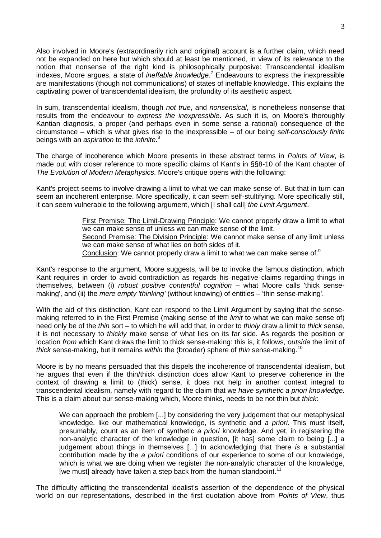Also involved in Moore's (extraordinarily rich and original) account is a further claim, which need not be expanded on here but which should at least be mentioned, in view of its relevance to the notion that nonsense of the right kind is philosophically purposive: Transcendental idealism indexes, Moore argues, a state of *ineffable knowledge*. <sup>7</sup> Endeavours to express the inexpressible are manifestations (though not communications) of states of ineffable knowledge. This explains the captivating power of transcendental idealism, the profundity of its aesthetic aspect.

In sum, transcendental idealism, though *not true*, and *nonsensical*, is nonetheless nonsense that results from the endeavour to *express the inexpressible*. As such it is, on Moore's thoroughly Kantian diagnosis, a proper (and perhaps even in some sense a rational) consequence of the circumstance – which is what gives rise to the inexpressible – of our being *self-consciously finite* beings with an *aspiration* to the *infinite*. 8

The charge of incoherence which Moore presents in these abstract terms in *Points of View*, is made out with closer reference to more specific claims of Kant's in §§8-10 of the Kant chapter of *The Evolution of Modern Metaphysics*. Moore's critique opens with the following:

Kant's project seems to involve drawing a limit to what we can make sense of. But that in turn can seem an incoherent enterprise. More specifically, it can seem self-stultifying. More specifically still, it can seem vulnerable to the following argument, which [I shall call] *the Limit Argument*.

> First Premise: The Limit-Drawing Principle: We cannot properly draw a limit to what we can make sense of unless we can make sense of the limit. Second Premise: The Division Principle: We cannot make sense of any limit unless we can make sense of what lies on both sides of it. Conclusion: We cannot properly draw a limit to what we can make sense of.<sup>9</sup>

Kant's response to the argument, Moore suggests, will be to invoke the famous distinction, which Kant requires in order to avoid contradiction as regards his negative claims regarding things in themselves, between (i) *robust positive contentful cognition* – what Moore calls 'thick sensemaking', and (ii) the *mere empty 'thinking'* (without knowing) of entities – 'thin sense-making'.

With the aid of this distinction, Kant can respond to the Limit Argument by saying that the sensemaking referred to in the First Premise (making sense of the *limit* to what we can make sense of) need only be of the *thin* sort – to which he will add that, in order to *thinly* draw a limit to *thick* sense, it is not necessary to *thickly* make sense of what lies on its far side. As regards the position or location *from* which Kant draws the limit to thick sense-making: this is, it follows, *outside* the limit of *thick* sense-making, but it remains *within* the (broader) sphere of *thin* sense-making.<sup>10</sup>

Moore is by no means persuaded that this dispels the incoherence of transcendental idealism, but he argues that even if the thin/thick distinction does allow Kant to preserve coherence in the context of drawing a limit to (thick) sense, it does not help in another context integral to transcendental idealism, namely with regard to the claim that we *have synthetic a priori knowledge*. This is a claim about our sense-making which, Moore thinks, needs to be not thin but *thick*:

We can approach the problem [...] by considering the very judgement that our metaphysical knowledge, like our mathematical knowledge, is synthetic and *a priori*. This must itself, presumably, count as an item of synthetic *a priori* knowledge. And yet, in registering the non-analytic character of the knowledge in question, [it has] some claim to being [...] a judgement about things in themselves [...] In acknowledging that there *is* a substantial contribution made by the *a priori* conditions of our experience to some of our knowledge, which is what we are doing when we register the non-analytic character of the knowledge, [we must] already have taken a step back from the human standpoint.<sup>11</sup>

The difficulty afflicting the transcendental idealist's assertion of the dependence of the physical world on our representations, described in the first quotation above from *Points of View*, thus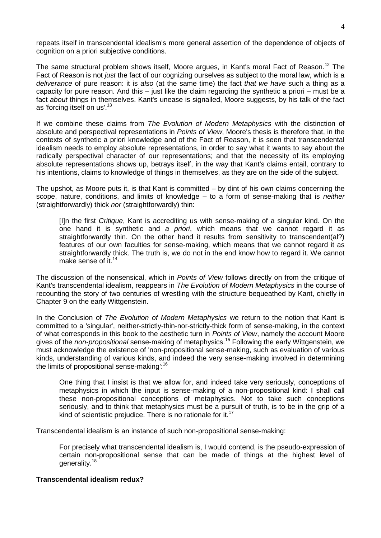repeats itself in transcendental idealism's more general assertion of the dependence of objects of cognition on a priori subjective conditions.

The same structural problem shows itself, Moore argues, in Kant's moral Fact of Reason.<sup>12</sup> The Fact of Reason is not *just* the fact of our cognizing ourselves as subject to the moral law, which is a *deliverance* of pure reason: it is *also* (at the same time) the fact *that we have* such a thing as a capacity for pure reason. And this – just like the claim regarding the synthetic a priori – must be a fact *about* things in themselves. Kant's unease is signalled, Moore suggests, by his talk of the fact as 'forcing itself on us'.<sup>13</sup>

If we combine these claims from *The Evolution of Modern Metaphysics* with the distinction of absolute and perspectival representations in *Points of View*, Moore's thesis is therefore that, in the contexts of synthetic a priori knowledge and of the Fact of Reason, it is seen that transcendental idealism needs to employ absolute representations, in order to say what it wants to say about the radically perspectival character of our representations; and that the necessity of its employing absolute representations shows up, betrays itself, in the way that Kant's claims entail, contrary to his intentions, claims to knowledge of things in themselves, as they are on the side of the subject.

The upshot, as Moore puts it, is that Kant is committed – by dint of his own claims concerning the scope, nature, conditions, and limits of knowledge – to a form of sense-making that is *neither* (straightforwardly) thick *nor* (straightforwardly) thin:

[I]n the first *Critique*, Kant is accrediting us with sense-making of a singular kind. On the one hand it is synthetic and *a priori*, which means that we cannot regard it as straightforwardly thin. On the other hand it results from sensitivity to transcendent(al?) features of our own faculties for sense-making, which means that we cannot regard it as straightforwardly thick. The truth is, we do not in the end know how to regard it. We cannot make sense of it.<sup>14</sup>

The discussion of the nonsensical, which in *Points of View* follows directly on from the critique of Kant's transcendental idealism, reappears in *The Evolution of Modern Metaphysics* in the course of recounting the story of two centuries of wrestling with the structure bequeathed by Kant, chiefly in Chapter 9 on the early Wittgenstein.

In the Conclusion of *The Evolution of Modern Metaphysics* we return to the notion that Kant is committed to a 'singular', neither-strictly-thin-nor-strictly-thick form of sense-making, in the context of what corresponds in this book to the aesthetic turn in *Points of View*, namely the account Moore gives of the *non-propositional* sense-making of metaphysics.<sup>15</sup> Following the early Wittgenstein, we must acknowledge the existence of 'non-propositional sense-making, such as evaluation of various kinds, understanding of various kinds, and indeed the very sense-making involved in determining the limits of propositional sense-making':<sup>16</sup>

One thing that I insist is that we allow for, and indeed take very seriously, conceptions of metaphysics in which the input is sense-making of a non-propositional kind: I shall call these non-propositional conceptions of metaphysics. Not to take such conceptions seriously, and to think that metaphysics must be a pursuit of truth, is to be in the grip of a kind of scientistic prejudice. There is no rationale for it.<sup>17</sup>

Transcendental idealism is an instance of such non-propositional sense-making:

For precisely what transcendental idealism is, I would contend, is the pseudo-expression of certain non-propositional sense that can be made of things at the highest level of generality.<sup>18</sup>

## **Transcendental idealism redux?**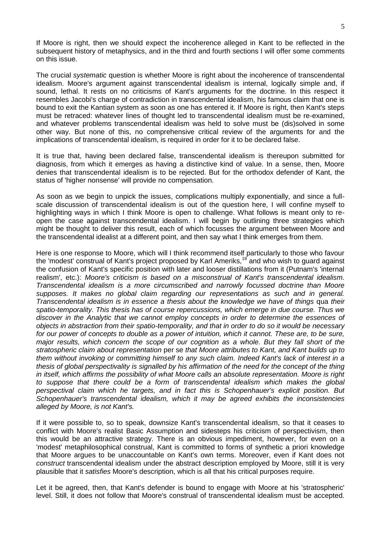If Moore is right, then we should expect the incoherence alleged in Kant to be reflected in the subsequent history of metaphysics, and in the third and fourth sections I will offer some comments on this issue.

The crucial *systematic* question is whether Moore is right about the incoherence of transcendental idealism. Moore's argument against transcendental idealism is internal, logically simple and, if sound, lethal. It rests on no criticisms of Kant's arguments for the doctrine. In this respect it resembles Jacobi's charge of contradiction in transcendental idealism, his famous claim that one is bound to exit the Kantian system as soon as one has entered it. If Moore is right, then Kant's steps must be retraced: whatever lines of thought led to transcendental idealism must be re-examined, and whatever problems transcendental idealism was held to solve must be (dis)solved in some other way. But none of this, no comprehensive critical review of the arguments for and the implications of transcendental idealism, is required in order for it to be declared false.

It is true that, having been declared false, transcendental idealism is thereupon submitted for diagnosis, from which it emerges as having a distinctive kind of value. In a sense, then, Moore denies that transcendental idealism is to be rejected. But for the orthodox defender of Kant, the status of 'higher nonsense' will provide no compensation.

As soon as we begin to unpick the issues, complications multiply exponentially, and since a fullscale discussion of transcendental idealism is out of the question here, I will confine myself to highlighting ways in which I think Moore is open to challenge. What follows is meant only to reopen the case against transcendental idealism. I will begin by outlining three strategies which might be thought to deliver this result, each of which focusses the argument between Moore and the transcendental idealist at a different point, and then say what I think emerges from them.

Here is one response to Moore, which will I think recommend itself particularly to those who favour the 'modest' construal of Kant's project proposed by Karl Ameriks,<sup>19</sup> and who wish to guard against the confusion of Kant's specific position with later and looser distillations from it (Putnam's 'internal realism', etc.): *Moore's criticism is based on a misconstrual of Kant's transcendental idealism. Transcendental idealism is a more circumscribed and narrowly focussed doctrine than Moore supposes. It makes no global claim regarding our representations as such and in general. Transcendental idealism is in essence a thesis about the knowledge we have of things qua their spatio-temporality. This thesis has of course repercussions, which emerge in due course. Thus we discover in the Analytic that we cannot employ concepts in order to determine the essences of objects in abstraction from their spatio-temporality, and that in order to do so it would be necessary for our power of concepts to double as a power of intuition, which it cannot. These are, to be sure, major results, which concern the scope of our cognition as a whole. But they fall short of the stratospheric claim about representation* per se *that Moore attributes to Kant, and Kant builds up to them without invoking or committing himself to any such claim. Indeed Kant's lack of interest in a thesis of global perspectivality is signalled by his affirmation of the need for the concept of the thing in itself, which affirms the possibility of what Moore calls an absolute representation. Moore is right to suppose that there could be a form of transcendental idealism which makes the global perspectival claim which he targets, and in fact this is Schopenhauer's explicit position. But Schopenhauer's transcendental idealism, which it may be agreed exhibits the inconsistencies alleged by Moore, is not Kant's.*

If it were possible to, so to speak, downsize Kant's transcendental idealism, so that it ceases to conflict with Moore's realist Basic Assumption and sidesteps his criticism of perspectivism, then this would be an attractive strategy. There is an obvious impediment, however, for even on a 'modest' metaphilosophical construal, Kant is committed to forms of synthetic a priori knowledge that Moore argues to be unaccountable on Kant's own terms. Moreover, even if Kant does not *construct* transcendental idealism under the abstract description employed by Moore, still it is very plausible that it *satisfies* Moore's description, which is all that his critical purposes require.

Let it be agreed, then, that Kant's defender is bound to engage with Moore at his 'stratospheric' level. Still, it does not follow that Moore's construal of transcendental idealism must be accepted.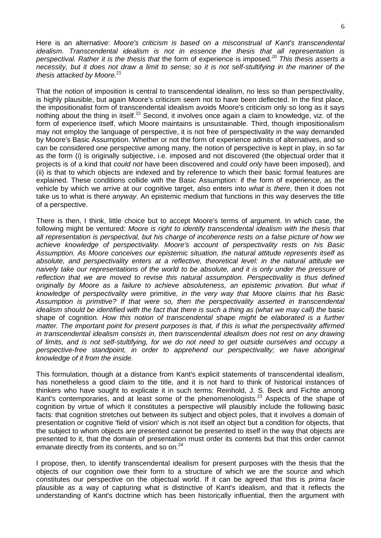Here is an alternative: *Moore's criticism is based on a misconstrual of Kant's transcendental idealism. Transcendental idealism is not in essence the thesis that all representation is perspectival. Rather it is the thesis that* the form of experience is imposed*. <sup>20</sup> This thesis asserts a necessity, but it does not draw a limit to sense; so it is not self-stultifying in the manner of the thesis attacked by Moore.*<sup>21</sup>

That the notion of imposition is central to transcendental idealism, no less so than perspectivality, is highly plausible, but again Moore's criticism seem not to have been deflected. In the first place, the impositionalist form of transcendental idealism avoids Moore's criticism only so long as it says nothing about the thing in itself.<sup>22</sup> Second, it involves once again a claim to knowledge, viz. of the form of experience itself, which Moore maintains is unsustainable. Third, though impositionalism may not employ the language of perspective, it is not free of perspectivality in the way demanded by Moore's Basic Assumption. Whether or not the form of experience admits of alternatives, and so can be considered one perspective among many, the notion of perspective is kept in play, in so far as the form (i) is originally subjective, i.e. imposed and not discovered (the objectual order that it projects is of a kind that *could not* have been discovered and *could only* have been imposed), and (ii) is that to which objects are indexed and by reference to which their basic formal features are explained. These conditions collide with the Basic Assumption: if the form of experience, as the vehicle by which we arrive at our cognitive target, also enters into *what is there*, then it does not take us to what is there *anyway*. An epistemic medium that functions in this way deserves the title of a perspective.

There is then, I think, little choice but to accept Moore's terms of argument. In which case, the following might be ventured: *Moore is right to identify transcendental idealism with the thesis that all representation is perspectival, but his charge of incoherence rests on a false picture of how we achieve knowledge of perspectivality. Moore's account of perspectivality rests on his Basic Assumption. As Moore conceives our epistemic situation, the natural attitude represents itself as absolute, and perspectivality enters at a reflective, theoretical level: in the natural attitude we naively take our representations of the world to be absolute, and it is only under the pressure of reflection that we are moved to revise this natural assumption. Perspectivality is thus defined originally by Moore as a failure to achieve absoluteness, an epistemic privation. But what if knowledge of perspectivality were* primitive*, in the very way that Moore claims that his Basic Assumption is primitive? If that were so, then the perspectivality asserted in transcendental idealism should be identified with the fact that there is such a thing as (what we may call) the basic* shape of cognition*. How this notion of transcendental shape might be elaborated is a further matter. The important point for present purposes is that, if this is what the perspectivality affirmed in transcendental idealism consists in, then transcendental idealism does not rest on any drawing of limits, and is not self-stultifying, for we do not need to get outside ourselves and occupy a perspective-free standpoint, in order to apprehend our perspectivality; we have aboriginal knowledge of it from the inside.*

This formulation, though at a distance from Kant's explicit statements of transcendental idealism, has nonetheless a good claim to the title, and it is not hard to think of historical instances of thinkers who have sought to explicate it in such terms: Reinhold, J. S. Beck and Fichte among Kant's contemporaries, and at least some of the phenomenologists.<sup>23</sup> Aspects of the shape of cognition by virtue of which it constitutes a perspective will plausibly include the following basic facts: that cognition stretches out between its subject and object poles, that it involves a domain of presentation or cognitive 'field of vision' which is not itself an object but a condition for objects, that the subject to whom objects are presented cannot be presented to itself in the way that objects are presented to it, that the domain of presentation must order its contents but that this order cannot emanate directly from its contents, and so on. $^{24}$ 

I propose, then, to identify transcendental idealism for present purposes with the thesis that the objects of our cognition owe their form to a structure of which we are the source and which constitutes our perspective on the objectual world. If it can be agreed that this is *prima facie* plausible as a way of capturing what is distinctive of Kant's idealism, and that it reflects the understanding of Kant's doctrine which has been historically influential, then the argument with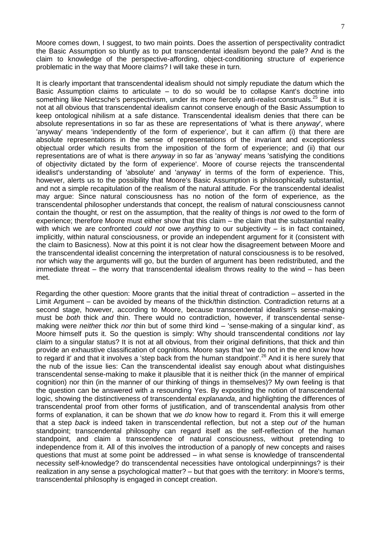Moore comes down, I suggest, to two main points. Does the assertion of perspectivality contradict the Basic Assumption so bluntly as to put transcendental idealism beyond the pale? And is the claim to knowledge of the perspective-affording, object-conditioning structure of experience problematic in the way that Moore claims? I will take these in turn.

It is clearly important that transcendental idealism should not simply repudiate the datum which the Basic Assumption claims to articulate – to do so would be to collapse Kant's doctrine into something like Nietzsche's perspectivism, under its more fiercely anti-realist construals.<sup>25</sup> But it is not at all obvious that transcendental idealism cannot conserve enough of the Basic Assumption to keep ontological nihilism at a safe distance. Transcendental idealism denies that there can be absolute representations in so far as these are representations of 'what is there *anyway*', where 'anyway' means 'independently of the form of experience', but it can affirm (i) that there are absolute representations in the sense of representations of the invariant and exceptionless objectual order which results from the imposition of the form of experience; and (ii) that our representations are of what is there *anyway* in so far as 'anyway' means 'satisfying the conditions of objectivity dictated by the form of experience'. Moore of course rejects the transcendental idealist's understanding of 'absolute' and 'anyway' in terms of the form of experience. This, however, alerts us to the possibility that Moore's Basic Assumption is philosophically substantial, and not a simple recapitulation of the realism of the natural attitude. For the transcendental idealist may argue: Since natural consciousness has no notion of the form of experience, as the transcendental philosopher understands that concept, the realism of natural consciousness cannot contain the thought, or rest on the assumption, that the reality of things is *not* owed to the form of experience; therefore Moore must either show that this claim – the claim that the substantial reality with which we are confronted *could not* owe *anything* to our subjectivity – is in fact contained, implicitly, within natural consciousness, or provide an independent argument for it (consistent with the claim to Basicness). Now at this point it is not clear how the disagreement between Moore and the transcendental idealist concerning the interpretation of natural consciousness is to be resolved, nor which way the arguments will go, but the burden of argument has been redistributed, and the immediate threat – the worry that transcendental idealism throws reality to the wind – has been met.

Regarding the other question: Moore grants that the initial threat of contradiction – asserted in the Limit Argument – can be avoided by means of the thick/thin distinction. Contradiction returns at a second stage, however, according to Moore, because transcendental idealism's sense-making must be *both* thick *and* thin. There would no contradiction, however, if transcendental sensemaking were *neither* thick *nor* thin but of some third kind – 'sense-making of a singular kind', as Moore himself puts it. So the question is simply: Why should transcendental conditions *not* lay claim to a singular status? It is not at all obvious, from their original definitions, that thick and thin provide an exhaustive classification of cognitions. Moore says that 'we do not in the end know how to regard it' and that it involves a 'step back from the human standpoint'.<sup>26</sup> And it is here surely that the nub of the issue lies: Can the transcendental idealist say enough about what distinguishes transcendental sense-making to make it plausible that it is neither thick (in the manner of empirical cognition) nor thin (in the manner of our thinking of things in themselves)? My own feeling is that the question can be answered with a resounding Yes. By expositing the notion of transcendental logic, showing the distinctiveness of transcendental *explananda*, and highlighting the differences of transcendental proof from other forms of justification, and of transcendental analysis from other forms of explanation, it can be shown that we *do* know how to regard it. From this it will emerge that a step *back* is indeed taken in transcendental reflection, but not a step *out of* the human standpoint; transcendental philosophy can regard itself as the self-reflection of the human standpoint, and claim a transcendence of natural consciousness, without pretending to independence from it. All of this involves the introduction of a panoply of new concepts and raises questions that must at some point be addressed – in what sense is knowledge of transcendental necessity self-knowledge? do transcendental necessities have ontological underpinnings? is their realization in any sense a psychological matter? – but that goes with the territory: in Moore's terms, transcendental philosophy is engaged in concept creation.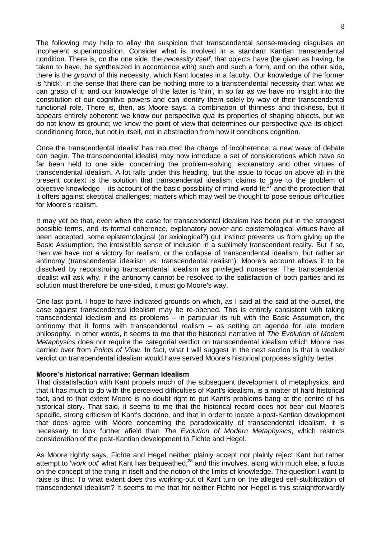The following may help to allay the suspicion that transcendental sense-making disguises an incoherent superimposition. Consider what is involved in a standard Kantian transcendental condition. There is, on the one side, the *necessity itself*, that objects have (be given as having, be taken to have, be synthesized in accordance with) such and such a form; and on the other side, there is the *ground* of this necessity, which Kant locates in a faculty. Our knowledge of the former is 'thick', in the sense that there can be nothing more to a transcendental necessity than what we can grasp of it; and our knowledge of the latter is 'thin', in so far as we have no insight into the constitution of our cognitive powers and can identify them solely by way of their transcendental functional role. There is, then, as Moore says, a combination of thinness and thickness, but it appears entirely coherent: we know our perspective *qua* its properties of shaping objects, but we do not know its ground; we know the point of view that determines our perspective *qua* its objectconditioning force, but not in itself, not in abstraction from how it conditions cognition.

Once the transcendental idealist has rebutted the charge of incoherence, a new wave of debate can begin. The transcendental idealist may now introduce a set of considerations which have so far been held to one side, concerning the problem-solving, explanatory and other virtues of transcendental idealism. A lot falls under this heading, but the issue to focus on above all in the present context is the solution that transcendental idealism claims to give to the problem of objective knowledge – its account of the basic possibility of mind-world fit, $^{27}$  and the protection that it offers against skeptical challenges; matters which may well be thought to pose serious difficulties for Moore's realism.

It may yet be that, even when the case for transcendental idealism has been put in the strongest possible terms, and its formal coherence, explanatory power and epistemological virtues have all been accepted, some epistemological (or axiological?) gut instinct prevents us from giving up the Basic Assumption, the irresistible sense of inclusion in a sublimely transcendent reality. But if so, then we have not a victory for realism, or the collapse of transcendental idealism, but rather an antinomy (transcendental idealism *vs*. transcendental realism). Moore's account allows it to be dissolved by reconstruing transcendental idealism as privileged nonsense. The transcendental idealist will ask why, if the antinomy cannot be resolved to the satisfaction of both parties and its solution must therefore be one-sided, it must go Moore's way.

One last point. I hope to have indicated grounds on which, as I said at the said at the outset, the case against transcendental idealism may be re-opened. This is entirely consistent with taking transcendental idealism and its problems – in particular its rub with the Basic Assumption, the antinomy that it forms with transcendental realism – as setting an agenda for late modern philosophy. In other words, it seems to me that the historical narrative of *The Evolution of Modern Metaphysics* does not require the categorial verdict on transcendental idealism which Moore has carried over from *Points of View*. In fact, what I will suggest in the next section is that a weaker verdict on transcendental idealism would have served Moore's historical purposes slightly better.

### **Moore's historical narrative: German Idealism**

That dissatisfaction with Kant propels much of the subsequent development of metaphysics, and that it has much to do with the perceived difficulties of Kant's idealism, is a matter of hard historical fact, and to that extent Moore is no doubt right to put Kant's problems bang at the centre of his historical story. That said, it seems to me that the historical record does not bear out Moore's specific, strong criticism of Kant's doctrine, and that in order to locate a post-Kantian development that does agree with Moore concerning the paradoxicality of transcendental idealism, it is necessary to look further afield than *The Evolution of Modern Metaphysics*, which restricts consideration of the post-Kantian development to Fichte and Hegel.

As Moore rightly says, Fichte and Hegel neither plainly accept nor plainly reject Kant but rather attempt to 'work out' what Kant has bequeathed,<sup>28</sup> and this involves, along with much else, a focus on the concept of the thing in itself and the notion of the limits of knowledge. The question I want to raise is this: To what extent does this working-out of Kant turn on the alleged self-stultification of transcendental idealism? It seems to me that for neither Fichte nor Hegel is this straightforwardly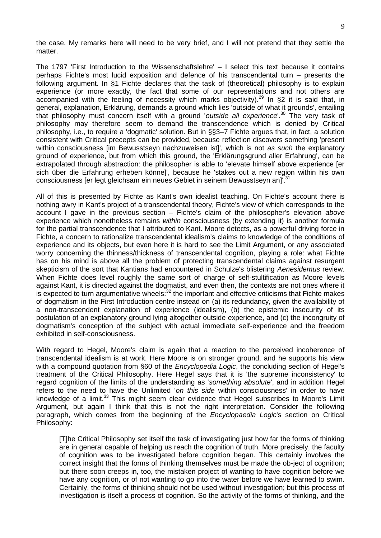the case. My remarks here will need to be very brief, and I will not pretend that they settle the matter.

The 1797 'First Introduction to the Wissenschaftslehre' – I select this text because it contains perhaps Fichte's most lucid exposition and defence of his transcendental turn – presents the following argument. In §1 Fichte declares that the task of (theoretical) philosophy is to explain experience (or more exactly, the fact that some of our representations and not others are accompanied with the feeling of necessity which marks objectivity).<sup>29</sup> In §2 it is said that, in general, explanation, Erklärung, demands a ground which lies 'outside of what it grounds', entailing that philosophy must concern itself with a ground '*outside all experience*'.<sup>30</sup> The very task of philosophy may therefore seem to demand the transcendence which is denied by Critical philosophy, i.e., to require a 'dogmatic' solution. But in §§3–7 Fichte argues that, in fact, a solution consistent with Critical precepts can be provided, because reflection discovers something 'present within consciousness [im Bewusstseyn nachzuweisen ist]', which is not *as such* the explanatory ground of experience, but from which this ground, the 'Erklärungsgrund aller Erfahrung', can be extrapolated through abstraction: the philosopher is able to 'elevate himself above experience [er sich über die Erfahrung erheben könne]', because he 'stakes out a new region within his own consciousness [er legt gleichsam ein neues Gebiet in seinem Bewusstseyn an]<sup>'.31</sup>

All of this is presented by Fichte as Kant's own idealist teaching. On Fichte's account there is nothing awry in Kant's project of a transcendental theory, Fichte's view of which corresponds to the account I gave in the previous section – Fichte's claim of the philosopher's elevation *above* experience which nonetheless remains *within* consciousness (by extending it) is another formula for the partial transcendence that I attributed to Kant. Moore detects, as a powerful driving force in Fichte, a concern to rationalize transcendental idealism's claims to knowledge of the conditions of experience and its objects, but even here it is hard to see the Limit Argument, or any associated worry concerning the thinness/thickness of transcendental cognition, playing a role: what Fichte has on his mind is above all the problem of protecting transcendental claims against resurgent skepticism of the sort that Kantians had encountered in Schulze's blistering *Aenesidemus* review. When Fichte does level roughly the same sort of charge of self-stultification as Moore levels against Kant, it is directed against the dogmatist, and even then, the contexts are not ones where it is expected to turn argumentative wheels:<sup>32</sup> the important and effective criticisms that Fichte makes of dogmatism in the First Introduction centre instead on (a) its redundancy, given the availability of a non-transcendent explanation of experience (idealism), (b) the epistemic insecurity of its postulation of an explanatory ground lying altogether outside experience, and (c) the incongruity of dogmatism's conception of the subject with actual immediate self-experience and the freedom exhibited in self-consciousness.

With regard to Hegel, Moore's claim is again that a reaction to the perceived incoherence of transcendental idealism is at work. Here Moore is on stronger ground, and he supports his view with a compound quotation from §60 of the *Encyclopedia Logic*, the concluding section of Hegel's treatment of the Critical Philosophy. Here Hegel says that it is 'the supreme inconsistency' to regard cognition of the limits of the understanding as '*something absolute*', and in addition Hegel refers to the need to have the Unlimited '*on this side* within consciousness' in order to have knowledge of a limit.<sup>33</sup> This might seem clear evidence that Hegel subscribes to Moore's Limit Argument, but again I think that this is not the right interpretation. Consider the following paragraph, which comes from the beginning of the *Encyclopaedia Logic*'s section on Critical Philosophy:

[T]he Critical Philosophy set itself the task of investigating just how far the forms of thinking are in general capable of helping us reach the cognition of truth. More precisely, the faculty of cognition was to be investigated before cognition began. This certainly involves the correct insight that the forms of thinking themselves must be made the ob-ject of cognition; but there soon creeps in, too, the mistaken project of wanting to have cognition before we have any cognition, or of not wanting to go into the water before we have learned to swim. Certainly, the forms of thinking should not be used without investigation; but this process of investigation is itself a process of cognition. So the activity of the forms of thinking, and the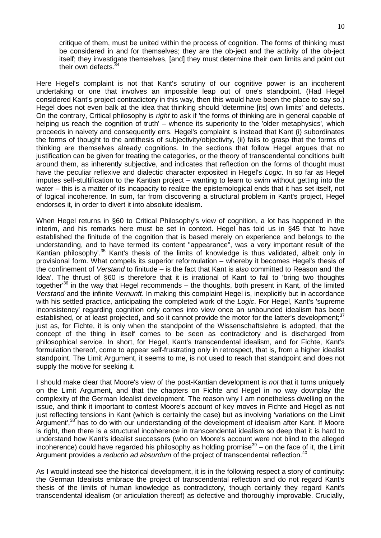critique of them, must be united within the process of cognition. The forms of thinking must be considered in and for themselves; they are the ob-ject and the activity of the ob-ject itself; they investigate themselves, [and] they must determine their own limits and point out their own defects.<sup>34</sup>

Here Hegel's complaint is not that Kant's scrutiny of our cognitive power is an incoherent undertaking or one that involves an impossible leap out of one's standpoint. (Had Hegel considered Kant's project contradictory in this way, then this would have been the place to say so.) Hegel does not even balk at the idea that thinking should 'determine [its] own limits' and defects. On the contrary, Critical philosophy is *right* to ask if 'the forms of thinking are in general capable of helping us reach the cognition of truth' – whence its superiority to the 'older metaphysics', which proceeds in naivety and consequently errs. Hegel's complaint is instead that Kant (i) subordinates the forms of thought to the antithesis of subjectivity/objectivity, (ii) fails to grasp that the forms of thinking are themselves already cognitions. In the sections that follow Hegel argues that no justification can be given for treating the categories, or the theory of transcendental conditions built around them, as inherently subjective, and indicates that reflection on the forms of thought must have the peculiar reflexive and dialectic character exposited in Hegel's *Logic*. In so far as Hegel imputes self-stultification to the Kantian project – wanting to learn to swim without getting into the water – this is a matter of its incapacity to realize the epistemological ends that it has set itself, not of logical incoherence. In sum, far from discovering a structural problem in Kant's project, Hegel endorses it, in order to divert it into absolute idealism.

When Hegel returns in §60 to Critical Philosophy's view of cognition, a lot has happened in the interim, and his remarks here must be set in context. Hegel has told us in §45 that 'to have established the finitude of the cognition that is based merely on experience and belongs to the understanding, and to have termed its content "appearance", was a very important result of the Kantian philosophy'.<sup>35</sup> Kant's thesis of the limits of knowledge is thus validated, albeit only in provisional form. What compels its superior reformulation – whereby it becomes Hegel's thesis of the confinement of *Verstand* to finitude – is the fact that Kant is *also* committed to Reason and 'the Idea'. The thrust of §60 is therefore that it is irrational of Kant to fail to 'bring two thoughts together<sup>36</sup> in the way that Hegel recommends – the thoughts, both present in Kant, of the limited *Verstand* and the infinite *Vernunft*. In making this complaint Hegel is, inexplicitly but in accordance with his settled practice, anticipating the completed work of the *Logic*. For Hegel, Kant's 'supreme inconsistency' regarding cognition only comes into view once an *un*bounded idealism has been established, or at least projected, and so it cannot provide the motor for the latter's development;<sup>37</sup> just as, for Fichte, it is only when the standpoint of the Wissenschaftslehre is adopted, that the concept of the thing in itself comes to be seen as contradictory and is discharged from philosophical service. In short, for Hegel, Kant's transcendental idealism, and for Fichte, Kant's formulation thereof, come to appear self-frustrating only in retrospect, that is, from a higher idealist standpoint. The Limit Argument, it seems to me, is not used to reach that standpoint and does not supply the motive for seeking it.

I should make clear that Moore's view of the post-Kantian development is *not* that it turns uniquely on the Limit Argument, and that the chapters on Fichte and Hegel in no way downplay the complexity of the German Idealist development. The reason why I am nonetheless dwelling on the issue, and think it important to contest Moore's account of key moves in Fichte and Hegel as not just reflecting tensions in Kant (which is certainly the case) but as involving 'variations on the Limit Argument',<sup>38</sup> has to do with our understanding of the development of idealism after Kant. If Moore is right, then there is a structural incoherence in transcendental idealism so deep that it is hard to understand how Kant's idealist successors (who on Moore's account were not blind to the alleged incoherence) could have regarded his philosophy as holding promise $39 -$  on the face of it, the Limit Argument provides a *reductio ad absurdum* of the project of transcendental reflection.<sup>40</sup>

As I would instead see the historical development, it is in the following respect a story of continuity: the German Idealists embrace the project of transcendental reflection and do not regard Kant's thesis of the limits of human knowledge as contradictory, though certainly they regard Kant's transcendental idealism (or articulation thereof) as defective and thoroughly improvable. Crucially,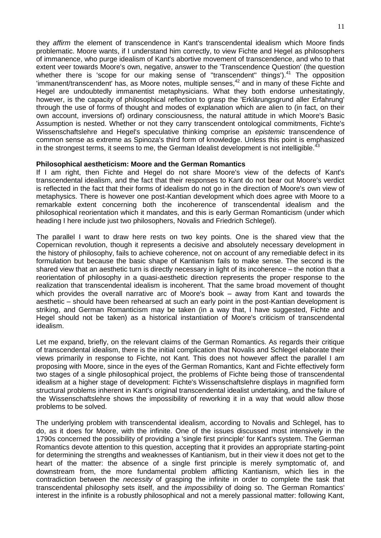they *affirm* the element of transcendence in Kant's transcendental idealism which Moore finds problematic. Moore wants, if I understand him correctly, to view Fichte and Hegel as philosophers of immanence, who purge idealism of Kant's abortive movement of transcendence, and who to that extent veer towards Moore's own, negative, answer to the 'Transcendence Question' (the question whether there is 'scope for our making sense of "transcendent" things').<sup>41</sup> The opposition 'immanent/transcendent' has, as Moore notes, multiple senses,  $42$  and in many of these Fichte and Hegel are undoubtedly immanentist metaphysicians. What they both endorse unhesitatingly, however, is the capacity of philosophical reflection to grasp the 'Erklärungsgrund aller Erfahrung' through the use of forms of thought and modes of explanation which are alien to (in fact, on their own account, inversions of) ordinary consciousness, the natural attitude in which Moore's Basic Assumption is nested. Whether or not they carry transcendent ontological commitments, Fichte's Wissenschaftslehre and Hegel's speculative thinking comprise an *epistemic* transcendence of common sense as extreme as Spinoza's third form of knowledge. Unless this point is emphasized in the strongest terms, it seems to me, the German Idealist development is not intelligible.<sup>43</sup>

## **Philosophical aestheticism: Moore and the German Romantics**

If I am right, then Fichte and Hegel do not share Moore's view of the defects of Kant's transcendental idealism, and the fact that their responses to Kant do not bear out Moore's verdict is reflected in the fact that their forms of idealism do not go in the direction of Moore's own view of metaphysics. There is however one post-Kantian development which does agree with Moore to a remarkable extent concerning both the incoherence of transcendental idealism and the philosophical reorientation which it mandates, and this is early German Romanticism (under which heading I here include just two philosophers, Novalis and Friedrich Schlegel).

The parallel I want to draw here rests on two key points. One is the shared view that the Copernican revolution, though it represents a decisive and absolutely necessary development in the history of philosophy, fails to achieve coherence, not on account of any remediable defect in its formulation but because the basic shape of Kantianism fails to make sense. The second is the shared view that an aesthetic turn is directly necessary in light of its incoherence – the notion that a reorientation of philosophy in a quasi-aesthetic direction represents the proper response to the realization that transcendental idealism is incoherent. That the same broad movement of thought which provides the overall narrative arc of Moore's book – away from Kant and towards the aesthetic – should have been rehearsed at such an early point in the post-Kantian development is striking, and German Romanticism may be taken (in a way that, I have suggested, Fichte and Hegel should not be taken) as a historical instantiation of Moore's criticism of transcendental idealism.

Let me expand, briefly, on the relevant claims of the German Romantics. As regards their critique of transcendental idealism, there is the initial complication that Novalis and Schlegel elaborate their views primarily in response to Fichte, not Kant. This does not however affect the parallel I am proposing with Moore, since in the eyes of the German Romantics, Kant and Fichte effectively form two stages of a single philosophical project, the problems of Fichte being those of transcendental idealism at a higher stage of development: Fichte's Wissenschaftslehre displays in magnified form structural problems inherent in Kant's original transcendental idealist undertaking, and the failure of the Wissenschaftslehre shows the impossibility of reworking it in a way that would allow those problems to be solved.

The underlying problem with transcendental idealism, according to Novalis and Schlegel, has to do, as it does for Moore, with the infinite. One of the issues discussed most intensively in the 1790s concerned the possibility of providing a 'single first principle' for Kant's system. The German Romantics devote attention to this question, accepting that it provides an appropriate starting-point for determining the strengths and weaknesses of Kantianism, but in their view it does not get to the heart of the matter: the absence of a single first principle is merely symptomatic of, and downstream from, the more fundamental problem afflicting Kantianism, which lies in the contradiction between the *necessity* of grasping the infinite in order to complete the task that transcendental philosophy sets itself, and the *impossibility* of doing so. The German Romantics' interest in the infinite is a robustly philosophical and not a merely passional matter: following Kant,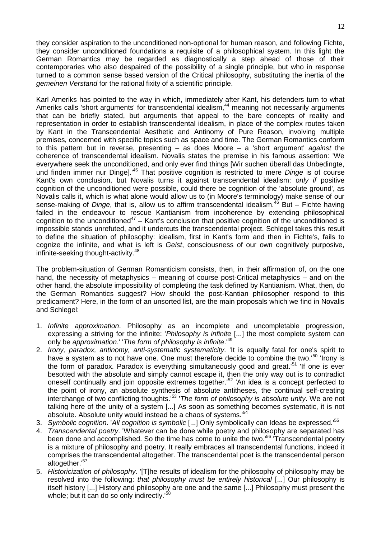they consider aspiration to the unconditioned non-optional for human reason, and following Fichte, they consider unconditioned foundations a requisite of a philosophical system. In this light the German Romantics may be regarded as diagnostically a step ahead of those of their contemporaries who also despaired of the possibility of a single principle, but who in response turned to a common sense based version of the Critical philosophy, substituting the inertia of the *gemeinen Verstand* for the rational fixity of a scientific principle.

Karl Ameriks has pointed to the way in which, immediately after Kant, his defenders turn to what Ameriks calls 'short arguments' for transcendental idealism,<sup>44</sup> meaning not necessarily arguments that can be briefly stated, but arguments that appeal to the bare concepts of reality and representation in order to establish transcendental idealism, in place of the complex routes taken by Kant in the Transcendental Aesthetic and Antinomy of Pure Reason, involving multiple premises, concerned with specific topics such as space and time. The German Romantics conform to this pattern but in reverse, presenting – as does Moore – a 'short argument' *against* the coherence of transcendental idealism. Novalis states the premise in his famous assertion: 'We everywhere seek the unconditioned, and only ever find things [Wir suchen überall das Unbedingte, und finden immer nur Dinge].'<sup>45</sup> That positive cognition is restricted to mere *Dinge* is of course Kant's own conclusion, but Novalis turns it against transcendental idealism: *only if* positive cognition of the unconditioned were possible, could there be cognition of the 'absolute ground', as Novalis calls it, which is what alone would allow us to (in Moore's terminology) make sense of our sense-making of *Dinge*, that is, allow us to affirm transcendental idealism.<sup>46</sup> But – Fichte having failed in the endeavour to rescue Kantianism from incoherence by extending philosophical cognition to the unconditioned<sup>47</sup> – Kant's conclusion that positive cognition of the unconditioned is impossible stands unrefuted, and it undercuts the transcendental project. Schlegel takes this result to define the situation of philosophy: idealism, first in Kant's form and then in Fichte's, fails to cognize the infinite, and what is left is *Geist*, consciousness of our own cognitively purposive, infinite-seeking thought-activity.<sup>48</sup>

The problem-situation of German Romanticism consists, then, in their affirmation of, on the one hand, the necessity of metaphysics – meaning of course post-Critical metaphysics – and on the other hand, the absolute impossibility of completing the task defined by Kantianism. What, then, do the German Romantics suggest? How should the post-Kantian philosopher respond to this predicament? Here, in the form of an unsorted list, are the main proposals which we find in Novalis and Schlegel:

- 1. *Infinite approximation*. Philosophy as an incomplete and uncompletable progression, expressing a striving for the infinite: '*Philosophy is infinite* [...] the most complete system can only be *approximation*.' '*The form of philosophy is infinite*.'<sup>49</sup>
- 2. *Irony, paradox, antinomy, anti-systematic systematicity*. 'It is equally fatal for one's spirit to have a system as to not have one. One must therefore decide to combine the two.'<sup>50</sup> 'Ironv is the form of paradox. Paradox is everything simultaneously good and great.<sup>151</sup> 'If one is ever besotted with the absolute and simply cannot escape it, then the only way out is to contradict oneself continually and join opposite extremes together.<sup>152</sup> 'An idea is a concept perfected to the point of irony, an absolute synthesis of absolute antitheses, the continual self-creating interchange of two conflicting thoughts.'<sup>53</sup> '*The form of philosophy is absolute unity*. We are not talking here of the unity of a system [...] As soon as something becomes systematic, it is not absolute. Absolute unity would instead be a chaos of systems.<sup>154</sup>
- 3. *Symbolic cognition*. '*All cognition is symbolic* [...] Only symbolically can Ideas be expressed.'<sup>55</sup>
- 4. *Transcendental poetry*. 'Whatever can be done while poetry and philosophy are separated has been done and accomplished. So the time has come to unite the two.<sup>56</sup> 'Transcendental poetry is a mixture of philosophy and poetry. It really embraces all transcendental functions, indeed it comprises the transcendental altogether. The transcendental poet is the transcendental person altogether.'<sup>57</sup>
- 5. *Historicization of philosophy*. '[T]he results of idealism for the philosophy of philosophy may be resolved into the following: *that philosophy must be entirely historical* [...] Our philosophy is itself history [...] History and philosophy are one and the same [...] Philosophy must present the whole; but it can do so only indirectly.<sup>15</sup>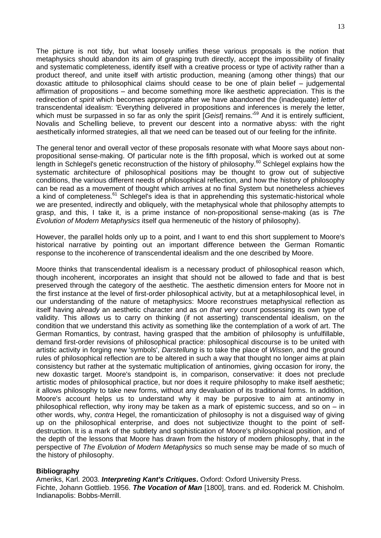The picture is not tidy, but what loosely unifies these various proposals is the notion that metaphysics should abandon its aim of grasping truth directly, accept the impossibility of finality and systematic completeness, identify itself with a creative process or type of activity rather than a product thereof, and unite itself with artistic production, meaning (among other things) that our doxastic attitude to philosophical claims should cease to be one of plain belief – judgemental affirmation of propositions – and become something more like aesthetic appreciation. This is the redirection of *spirit* which becomes appropriate after we have abandoned the (inadequate) *letter* of transcendental idealism: 'Everything delivered in propositions and inferences is merely the letter, which must be surpassed in so far as only the spirit [*Geist*] remains.<sup>59</sup> And it is entirely sufficient, Novalis and Schelling believe, to prevent our descent into a normative abyss: with the right aesthetically informed strategies, all that we need can be teased out of our feeling for the infinite.

The general tenor and overall vector of these proposals resonate with what Moore says about nonpropositional sense-making. Of particular note is the fifth proposal, which is worked out at some length in Schlegel's genetic reconstruction of the history of philosophy.<sup>60</sup> Schlegel explains how the systematic architecture of philosophical positions may be thought to grow out of subjective conditions, the various different needs of philosophical reflection, and how the history of philosophy can be read as a movement of thought which arrives at no final System but nonetheless achieves a kind of completeness.<sup>61</sup> Schlegel's idea is that in apprehending this systematic-historical whole we are presented, indirectly and obliquely, with the metaphysical whole that philosophy attempts to grasp, and this, I take it, is a prime instance of non-propositional sense-making (as is *The Evolution of Modern Metaphysics* itself *qua* hermeneutic of the history of philosophy).

However, the parallel holds only up to a point, and I want to end this short supplement to Moore's historical narrative by pointing out an important difference between the German Romantic response to the incoherence of transcendental idealism and the one described by Moore.

Moore thinks that transcendental idealism is a necessary product of philosophical reason which, though incoherent, incorporates an insight that should not be allowed to fade and that is best preserved through the category of the aesthetic. The aesthetic dimension enters for Moore not in the first instance at the level of first-order philosophical activity, but at a metaphilosophical level, in our understanding of the nature of metaphysics: Moore reconstrues metaphysical reflection as itself having *already* an aesthetic character and as *on that very count* possessing its own type of validity. This allows us to carry on thinking (if not asserting) transcendental idealism, on the condition that we understand this activity as something like the contemplation of a work of art. The German Romantics, by contrast, having grasped that the ambition of philosophy is unfulfillable, demand first-order revisions of philosophical practice: philosophical discourse is to be united with artistic activity in forging new 'symbols', *Darstellung* is to take the place of *Wissen*, and the ground rules of philosophical reflection are to be altered in such a way that thought no longer aims at plain consistency but rather at the systematic multiplication of antinomies, giving occasion for irony, the new doxastic target. Moore's standpoint is, in comparison, conservative: it does not preclude artistic modes of philosophical practice, but nor does it require philosophy to make itself aesthetic; it allows philosophy to take new forms, without any devaluation of its traditional forms. In addition, Moore's account helps us to understand why it may be purposive to aim at antinomy in philosophical reflection, why irony may be taken as a mark of epistemic success, and so on – in other words, why, *contra* Hegel, the romanticization of philosophy is not a disguised way of giving up on the philosophical enterprise, and does not subjectivize thought to the point of selfdestruction. It is a mark of the subtlety and sophistication of Moore's philosophical position, and of the depth of the lessons that Moore has drawn from the history of modern philosophy, that in the perspective of *The Evolution of Modern Metaphysics* so much sense may be made of so much of the history of philosophy.

### **Bibliography**

Ameriks, Karl. 2003. *Interpreting Kant's Critiques***.** Oxford: Oxford University Press. Fichte, Johann Gottlieb. 1956. *The Vocation of Man* [1800], trans. and ed. Roderick M. Chisholm. Indianapolis: Bobbs-Merrill.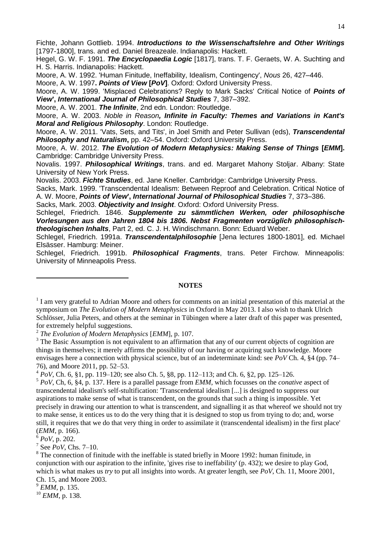Fichte, Johann Gottlieb. 1994. *Introductions to the Wissenschaftslehre and Other Writings* [1797-1800], trans. and ed. Daniel Breazeale. Indianapolis: Hackett.

Hegel, G. W. F. 1991. *The Encyclopaedia Logic* [1817], trans. T. F. Geraets, W. A. Suchting and H. S. Harris. Indianapolis: Hackett.

Moore, A. W. 1992. 'Human Finitude, Ineffability, Idealism, Contingency', *Nous* 26, 427–446.

Moore, A. W. 1997**.** *Points of View* **[***PoV***]**. Oxford: Oxford University Press.

Moore, A. W. 1999. 'Misplaced Celebrations? Reply to Mark Sacks' Critical Notice of *Points of View***',** *International Journal of Philosophical Studies* 7, 387–392.

Moore, A. W. 2001. *The Infinite*, 2nd edn. London: Routledge.

Moore, A. W. 2003. *Noble in Reason, Infinite in Faculty: Themes and Variations in Kant's Moral and Religious Philosophy*. London: Routledge.

Moore, A. W. 2011. 'Vats, Sets, and Tits', in Joel Smith and Peter Sullivan (eds), *Transcendental*  **Philosophy and Naturalism, pp. 42–54. Oxford: Oxford University Press.** 

Moore, A. W. 2012. *The Evolution of Modern Metaphysics: Making Sense of Things* **[***EMM***].** Cambridge: Cambridge University Press.

Novalis. 1997. *Philosophical Writings*, trans. and ed. Margaret Mahony Stoljar. Albany: State University of New York Press.

Novalis. 2003. *Fichte Studies*, ed. Jane Kneller. Cambridge: Cambridge University Press.

Sacks, Mark. 1999. 'Transcendental Idealism: Between Reproof and Celebration. Critical Notice of A. W. Moore, *Points of View***',** *International Journal of Philosophical Studies* 7, 373–386.

Sacks, Mark. 2003. *Objectivity and Insight*. Oxford: Oxford University Press.

Schlegel, Friedrich. 1846. *Supplemente zu sämmtlichen Werken, oder philosophische Vorlesungen aus den Jahren 1804 bis 1806. Nebst Fragmenten vorzüglich philosophischtheologischen Inhalts*, Part 2, ed. C. J. H. Windischmann. Bonn: Eduard Weber.

Schlegel, Friedrich. 1991a. *Transcendentalphilosophie* [Jena lectures 1800-1801], ed. Michael Elsässer. Hamburg: Meiner.

Schlegel, Friedrich. 1991b. *Philosophical Fragments*, trans. Peter Firchow. Minneapolis: University of Minneapolis Press.

### **NOTES**

2 *The Evolution of Modern Metaphysics* [*EMM*], p. 107.

<sup>3</sup> The Basic Assumption is not equivalent to an affirmation that any of our current objects of cognition are things in themselves; it merely affirms the possibility of our having or acquiring such knowledge. Moore envisages here a connection with physical science, but of an indeterminate kind: see *PoV* Ch. 4, §4 (pp. 74– 76), and Moore 2011, pp. 52–53.

 $^{4}$  *PoV*, Ch. 6, §1, pp. 119–120; see also Ch. 5, §8, pp. 112–113; and Ch. 6, §2, pp. 125–126.

<sup>5</sup> *PoV*, Ch, 6, §4, p. 137. Here is a parallel passage from *EMM*, which focusses on the *conative* aspect of transcendental idealism's self-stultification: 'Transcendental idealism [...] is designed to suppress our aspirations to make sense of what is transcendent, on the grounds that such a thing is impossible. Yet precisely in drawing our attention to what is transcendent, and signalling it as that whereof we should not try to make sense, it entices us to do the very thing that it is designed to stop us from trying to do; and, worse still, it requires that we do that very thing in order to assimilate it (transcendental idealism) in the first place' (*EMM*, p. 166).

 $6$  *PoV*, p. 202.

-

<sup>7</sup> See  $PoV$ , Chs. 7–10.

<sup>8</sup> The connection of finitude with the ineffable is stated briefly in Moore 1992: human finitude, in conjunction with our aspiration to the infinite, 'gives rise to ineffability' (p. 432); we desire to play God, which is what makes us *try* to put all insights into words. At greater length, see *PoV*, Ch. 11, Moore 2001, Ch. 15, and Moore 2003.

<sup>9</sup> *EMM*, p. 135.

<sup>10</sup> *EMM*, p. 138.

<sup>&</sup>lt;sup>1</sup> I am very grateful to Adrian Moore and others for comments on an initial presentation of this material at the symposium on *The Evolution of Modern Metaphysics* in Oxford in May 2013. I also wish to thank Ulrich Schlösser, Julia Peters, and others at the seminar in Tübingen where a later draft of this paper was presented, for extremely helpful suggestions.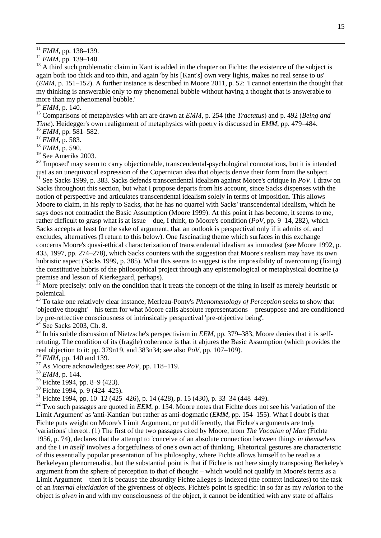1

<sup>13</sup> A third such problematic claim in Kant is added in the chapter on Fichte: the existence of the subject is again both too thick and too thin, and again 'by his [Kant's] own very lights, makes no real sense to us' (*EMM*, p. 151–152). A further instance is described in Moore 2011, p. 52: 'I cannot entertain the thought that my thinking is answerable only to my phenomenal bubble without having a thought that is answerable to more than my phenomenal bubble.'

 $^{14}$  *EMM*, p. 140.

<sup>15</sup> Comparisons of metaphysics with art are drawn at *EMM*, p. 254 (the *Tractatus*) and p. 492 (*Being and Time*). Heidegger's own realignment of metaphysics with poetry is discussed in *EMM*, pp. 479–484. <sup>16</sup> *EMM*, pp. 581–582.

<sup>17</sup> *EMM*, p. 583.

<sup>18</sup> *EMM*, p. 590.

<sup>19</sup> See Ameriks 2003.

 $20$  'Imposed' may seem to carry objectionable, transcendental-psychological connotations, but it is intended just as an unequivocal expression of the Copernican idea that objects derive their form from the subject.

<sup>21</sup> See Sacks 1999, p. 383. Sacks defends transcendental idealism against Moore's critique in *PoV*. I draw on Sacks throughout this section, but what I propose departs from his account, since Sacks dispenses with the notion of perspective and articulates transcendental idealism solely in terms of imposition. This allows Moore to claim, in his reply to Sacks, that he has no quarrel with Sacks' transcendental idealism, which he says does not contradict the Basic Assumption (Moore 1999). At this point it has become, it seems to me, rather difficult to grasp what is at issue – due, I think, to Moore's condition (*PoV*, pp. 9–14, 282), which Sacks accepts at least for the sake of argument, that an outlook is perspectival only if it admits of, and excludes, alternatives (I return to this below). One fascinating theme which surfaces in this exchange concerns Moore's quasi-ethical characterization of transcendental idealism as immodest (see Moore 1992, p. 433, 1997, pp. 274–278), which Sacks counters with the suggestion that Moore's realism may have its own hubristic aspect (Sacks 1999, p. 385). What this seems to suggest is the impossibility of overcoming (fixing) the constitutive hubris of the philosophical project through any epistemological or metaphysical doctrine (a premise and lesson of Kierkegaard, perhaps).

 $^{22}$  More precisely: only on the condition that it treats the concept of the thing in itself as merely heuristic or polemical.

<sup>23</sup> To take one relatively clear instance, Merleau-Ponty's *Phenomenology of Perception* seeks to show that 'objective thought' – his term for what Moore calls absolute representations – presuppose and are conditioned by pre-reflective consciousness of intrinsically perspectival 'pre-objective being'.

 $24$  See Sacks 2003, Ch. 8.

<sup>25</sup> In his subtle discussion of Nietzsche's perspectivism in *EEM*, pp. 379–383, Moore denies that it is selfrefuting. The condition of its (fragile) coherence is that it abjures the Basic Assumption (which provides the real objection to it: pp. 379n19, and 383n34; see also *PoV*, pp. 107–109).

<sup>26</sup> *EMM*, pp. 140 and 139.

<sup>27</sup> As Moore acknowledges: see *PoV*, pp. 118–119.

<sup>28</sup> *EMM*, p. 144.

- <sup>29</sup> Fichte 1994, pp. 8–9 (423).
- $30$  Fichte 1994, p. 9 (424–425).

<sup>31</sup> Fichte 1994, pp. 10–12 (425–426), p. 14 (428), p. 15 (430), p. 33–34 (448–449).

<sup>32</sup> Two such passages are quoted in *EEM*, p. 154. Moore notes that Fichte does not see his 'variation of the Limit Argument' as 'anti-Kantian' but rather as anti-dogmatic (*EMM*, pp. 154–155). What I doubt is that Fichte puts weight on Moore's Limit Argument, or put differently, that Fichte's arguments are truly 'variations' thereof. (1) The first of the two passages cited by Moore, from *The Vocation of Man* (Fichte 1956, p. 74), declares that the attempt to 'conceive of an absolute connection between things *in themselves* and the I *in itself*' involves a forgetfulness of one's own act of thinking. Rhetorical gestures are characteristic of this essentially popular presentation of his philosophy, where Fichte allows himself to be read as a Berkeleyan phenomenalist, but the substantial point is that if Fichte is not here simply transposing Berkeley's argument from the sphere of perception to that of thought – which would not qualify in Moore's terms as a Limit Argument – then it is because the absurdity Fichte alleges is indexed (the context indicates) to the task of an *internal elucidation* of the givenness of objects. Fichte's point is specific: in so far as my *relation* to the object is *given* in and with my consciousness of the object, it cannot be identified with any state of affairs

 $^{11}$  *EMM*, pp. 138–139.

<sup>12</sup> *EMM*, pp. 139–140.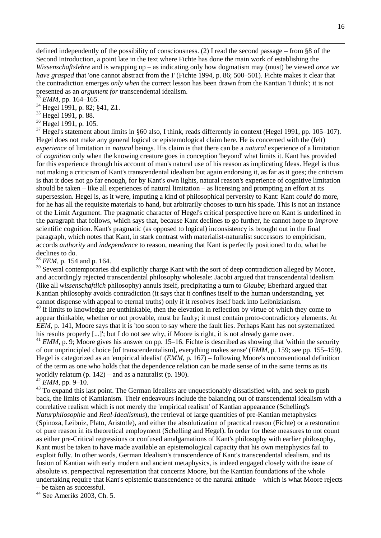defined independently of the possibility of consciousness. (2) I read the second passage – from §8 of the Second Introduction, a point late in the text where Fichte has done the main work of establishing the *Wissenschaftslehre* and is wrapping up – as indicating only how dogmatism may (must) be viewed *once we have grasped* that 'one cannot abstract from the I' (Fichte 1994, p. 86; 500–501). Fichte makes it clear that the contradiction emerges *only when* the correct lesson has been drawn from the Kantian 'I think'; it is not presented as an *argument for* transcendental idealism.

*EMM*, pp. 164–165.

1

<sup>34</sup> Hegel 1991, p. 82; §41, Z1.

<sup>35</sup> Hegel 1991, p. 88.

<sup>36</sup> Hegel 1991, p. 105.

 $37$  Hegel's statement about limits in §60 also, I think, reads differently in context (Hegel 1991, pp. 105–107). Hegel does not make any general logical or epistemological claim here. He is concerned with the (felt) *experience* of limitation in *natural* beings. His claim is that there can be a *natural* experience of a limitation of *cognition* only when the knowing creature goes in conception 'beyond' what limits it. Kant has provided for this experience through his account of man's natural use of his reason as implicating Ideas. Hegel is thus not making a criticism of Kant's transcendental idealism but again endorsing it, as far as it goes; the criticism is that it does not go far enough, for by Kant's own lights, natural reason's experience of cognitive limitation should be taken – like all experiences of natural limitation – as licensing and prompting an effort at its supersession. Hegel is, as it were, imputing a kind of philosophical perversity to Kant: Kant *could* do more, for he has all the requisite materials to hand, but arbitrarily chooses to turn his spade. This is not an instance of the Limit Argument. The pragmatic character of Hegel's critical perspective here on Kant is underlined in the paragraph that follows, which says that, because Kant declines to go further, he cannot hope to *improve* scientific cognition. Kant's pragmatic (as opposed to logical) inconsistency is brought out in the final paragraph, which notes that Kant, in stark contrast with materialist-naturalist successors to empiricism, accords *authority* and *independence* to reason, meaning that Kant is perfectly positioned to do, what he declines to do.

<sup>38</sup> *EEM*, p. 154 and p. 164.

<sup>39</sup> Several contemporaries did explicitly charge Kant with the sort of deep contradiction alleged by Moore, and accordingly rejected transcendental philosophy wholesale: Jacobi argued that transcendental idealism (like all *wissenschaftlich* philosophy) annuls itself, precipitating a turn to *Glaube*; Eberhard argued that Kantian philosophy avoids contradiction (it says that it confines itself to the human understanding, yet cannot dispense with appeal to eternal truths) only if it resolves itself back into Leibnizianism.

 $40$  If limits to knowledge are unthinkable, then the elevation in reflection by virtue of which they come to appear thinkable, whether or not provable, must be faulty; it must contain proto-contradictory elements. At *EEM*, p. 141, Moore says that it is 'too soon to say where the fault lies. Perhaps Kant has not systematized his results properly [...]'; but I do not see why, if Moore is right, it is not already game over.

 $^{41}$  *EMM*, p. 9; Moore gives his answer on pp. 15–16. Fichte is described as showing that 'within the security of our unprincipled choice [of transcendentalism], everything makes sense' (*EMM*, p. 159; see pp. 155–159). Hegel is categorized as an 'empirical idealist' (*EMM*, p. 167) – following Moore's unconventional definition of the term as one who holds that the dependence relation can be made sense of in the same terms as its worldly relatum (p.  $142$ ) – and as a naturalist (p. 190).

<sup>42</sup> *EMM*, pp. 9–10.

<sup>43</sup> To expand this last point. The German Idealists are unquestionably dissatisfied with, and seek to push back, the limits of Kantianism. Their endeavours include the balancing out of transcendental idealism with a correlative realism which is not merely the 'empirical realism' of Kantian appearance (Schelling's *Naturphilosophie* and *Real-Idealismus*), the retrieval of large quantities of pre-Kantian metaphysics (Spinoza, Leibniz, Plato, Aristotle), and either the absolutization of practical reason (Fichte) or a restoration of pure reason in its theoretical employment (Schelling and Hegel). In order for these measures to not count as either pre-Critical regressions or confused amalgamations of Kant's philosophy with earlier philosophy, Kant must be taken to have made available an epistemological capacity that his own metaphysics fail to exploit fully. In other words, German Idealism's transcendence of Kant's transcendental idealism, and its fusion of Kantian with early modern and ancient metaphysics, is indeed engaged closely with the issue of absolute *vs*. perspectival representation that concerns Moore, but the Kantian foundations of the whole undertaking require that Kant's epistemic transcendence of the natural attitude – which is what Moore rejects

– be taken as successful.

<sup>44</sup> See Ameriks 2003, Ch. 5.